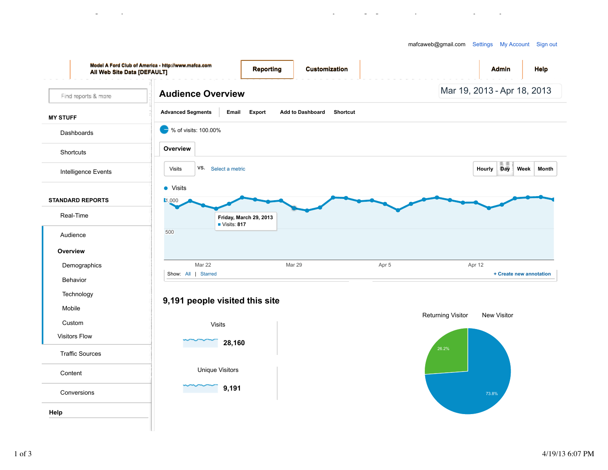

Audience Overview - Google Analytics https://www.google.com/analytics/web/?hl=en&pli=1#report/visitors-overview/a3852...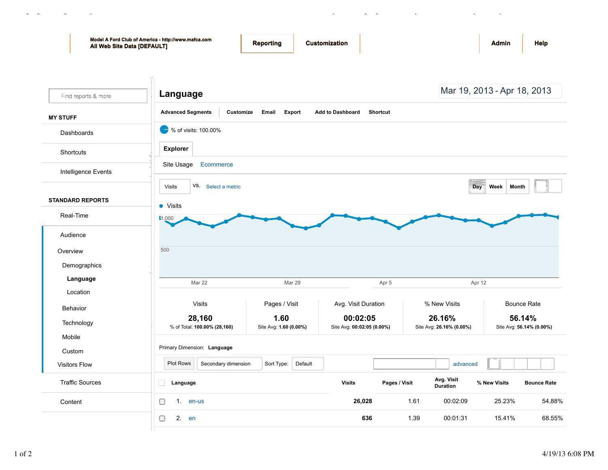| All Web Site Data [DEFAULT] | Model A Ford Club of America - http://www.mafca.com<br>Reporting         | <b>Customization</b>                       |                                                | <b>Help</b><br><b>Admin</b>        |  |  |
|-----------------------------|--------------------------------------------------------------------------|--------------------------------------------|------------------------------------------------|------------------------------------|--|--|
| Find reports & more         | Language                                                                 |                                            |                                                | Mar 19, 2013 - Apr 18, 2013        |  |  |
| <b>MY STUFF</b>             | <b>Advanced Segments</b><br>Customize<br>Email<br>Export                 | <b>Add to Dashboard</b><br><b>Shortcut</b> |                                                |                                    |  |  |
| Dashboards                  | % of visits: 100.00%                                                     |                                            |                                                |                                    |  |  |
| Shortcuts                   | <b>Explorer</b>                                                          |                                            |                                                |                                    |  |  |
| Intelligence Events         | Ecommerce<br>Site Usage                                                  |                                            |                                                |                                    |  |  |
|                             | VS. Select a metric<br><b>Visits</b>                                     |                                            | Day                                            | Week<br>Month                      |  |  |
| <b>STANDARD REPORTS</b>     | • Visits                                                                 |                                            |                                                |                                    |  |  |
| Real-Time                   | 1,000                                                                    |                                            |                                                |                                    |  |  |
| Audience                    |                                                                          |                                            |                                                |                                    |  |  |
| Overview                    | 500                                                                      |                                            |                                                |                                    |  |  |
| Demographics                |                                                                          |                                            |                                                |                                    |  |  |
| Language                    | Mar 22<br><b>Mar 29</b>                                                  | Apr 5                                      | Apr 12                                         |                                    |  |  |
| Location                    |                                                                          |                                            |                                                |                                    |  |  |
| Behavior                    | <b>Visits</b><br>Pages / Visit                                           | Avg. Visit Duration                        | % New Visits                                   | <b>Bounce Rate</b>                 |  |  |
| Technology                  | 28,160<br>1.60<br>% of Total: 100.00% (28,160)<br>Site Avg: 1.60 (0.00%) | 00:02:05<br>Site Avg: 00:02:05 (0.00%)     | 26.16%<br>Site Avg: 26.16% (0.00%)             | 56.14%<br>Site Avg: 56.14% (0.00%) |  |  |
| Mobile                      |                                                                          |                                            |                                                |                                    |  |  |
| Custom                      | Primary Dimension: Language                                              |                                            |                                                |                                    |  |  |
| <b>Visitors Flow</b>        | <b>Plot Rows</b><br>Secondary dimension<br>Sort Type:                    | Default                                    | advanced                                       |                                    |  |  |
| <b>Traffic Sources</b>      | п<br>Language                                                            | <b>Visits</b>                              | Avg. Visit<br>Pages / Visit<br><b>Duration</b> | % New Visits<br><b>Bounce Rate</b> |  |  |
| Content                     | 0<br>1. en-us                                                            | 26,028                                     | 1.61<br>00:02:09                               | 25.23%<br>54.88%                   |  |  |
|                             | 2. en<br>0                                                               | 636                                        | 1.39<br>00:01:31                               | 15.41%<br>68.55%                   |  |  |
|                             |                                                                          |                                            |                                                |                                    |  |  |

Language - Google Analytics https://www.google.com/analytics/web/?hl=en&pli=1#report/visitors-overview/a3852...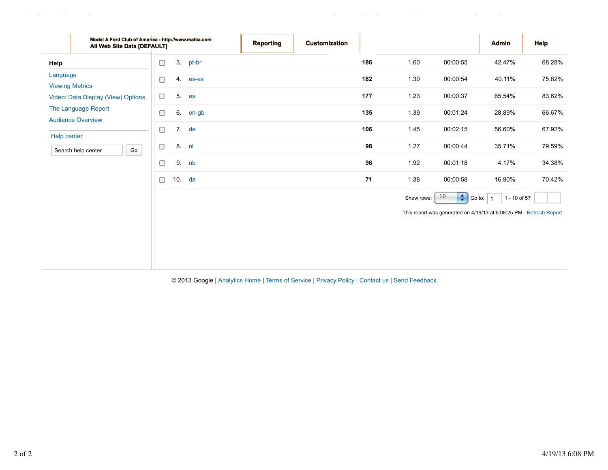| Model A Ford Club of America - http://www.mafca.com<br>All Web Site Data [DEFAULT] |                           | <b>Reporting</b> | <b>Customization</b> |     |            |                            | <b>Admin</b>                                                                        | <b>Help</b> |
|------------------------------------------------------------------------------------|---------------------------|------------------|----------------------|-----|------------|----------------------------|-------------------------------------------------------------------------------------|-------------|
| Help                                                                               | 3.<br>pt-br<br>O          |                  |                      | 186 | 1.60       | 00:00:55                   | 42.47%                                                                              | 68.28%      |
| Language<br><b>Viewing Metrics</b>                                                 | 4.<br>es-es<br>O          |                  |                      | 182 | 1.30       | 00:00:54                   | 40.11%                                                                              | 75.82%      |
| Video: Data Display (View) Options                                                 | 5 <sub>1</sub><br>0<br>es |                  |                      | 177 | 1.23       | 00:00:37                   | 65.54%                                                                              | 83.62%      |
| The Language Report<br><b>Audience Overview</b>                                    | 6.<br>O<br>en-gb          |                  |                      | 135 | 1.39       | 00:01:24                   | 28.89%                                                                              | 66.67%      |
| Help center                                                                        | 7.<br>de<br>0             |                  |                      | 106 | 1.45       | 00:02:15                   | 56.60%                                                                              | 67.92%      |
| Go<br>Search help center                                                           | 8. nl<br>0                |                  |                      | 98  | 1.27       | 00:00:44                   | 35.71%                                                                              | 79.59%      |
|                                                                                    | 9. nb<br>0                |                  |                      | 96  | 1.92       | 00:01:18                   | 4.17%                                                                               | 34.38%      |
|                                                                                    | 10. da<br>0               |                  |                      | 71  | 1.38       | 00:00:58                   | 16.90%                                                                              | 70.42%      |
|                                                                                    |                           |                  |                      |     | Show rows: | $\frac{4}{7}$ Go to:<br>10 | 1 - 10 of 57<br>This report was generated on 4/19/13 at 6:08:25 PM - Refresh Report |             |
|                                                                                    |                           |                  |                      |     |            |                            |                                                                                     |             |

Language - Google Analytics https://www.google.com/analytics/web/?hl=en&pli=1#report/visitors-overview/a3852...

© 2013 Google | Analytics Home | Terms of Service | Privacy Policy | Contact us | Send Feedback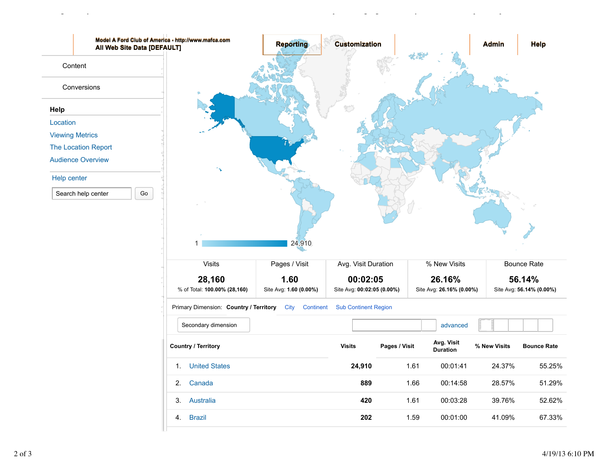

Location - Google Analytics https://www.google.com/analytics/web/?hl=en&pli=1#report/visitors-overview/a3852...